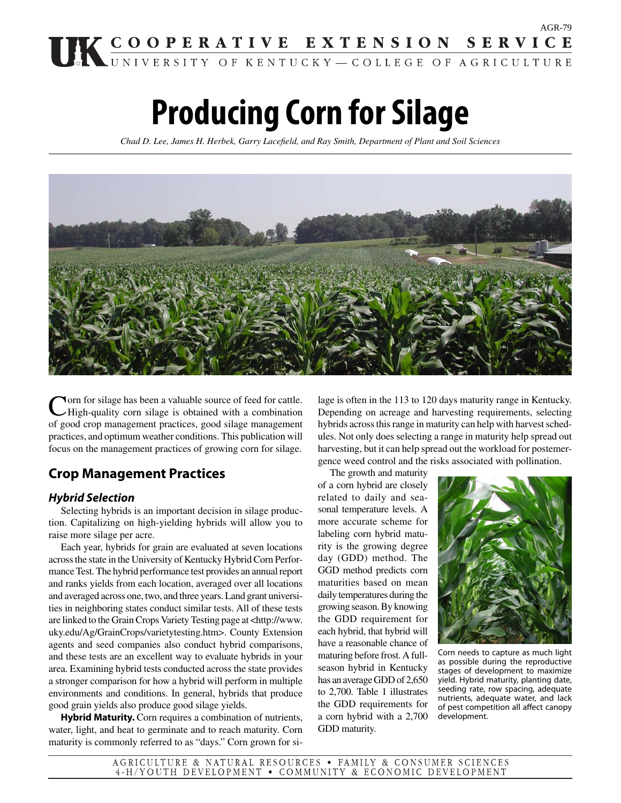# AGR-79 UK COOPERATIVE EXTENSION SERVICE

# **Producing Corn for Silage**

*Chad D. Lee, James H. Herbek, Garry Lacefi eld, and Ray Smith, Department of Plant and Soil Sciences*



**Norn for silage has been a valuable source of feed for cattle.** High-quality corn silage is obtained with a combination of good crop management practices, good silage management practices, and optimum weather conditions. This publication will focus on the management practices of growing corn for silage.

# **Crop Management Practices**

# *Hybrid Selection*

 Selecting hybrids is an important decision in silage production. Capitalizing on high-yielding hybrids will allow you to raise more silage per acre.

 Each year, hybrids for grain are evaluated at seven locations across the state in the University of Kentucky Hybrid Corn Performance Test. The hybrid performance test provides an annual report and ranks yields from each location, averaged over all locations and averaged across one, two, and three years. Land grant universities in neighboring states conduct similar tests. All of these tests are linked to the Grain Crops Variety Testing page at <http://www. uky.edu/Ag/GrainCrops/varietytesting.htm>. County Extension agents and seed companies also conduct hybrid comparisons, and these tests are an excellent way to evaluate hybrids in your area. Examining hybrid tests conducted across the state provides a stronger comparison for how a hybrid will perform in multiple environments and conditions. In general, hybrids that produce good grain yields also produce good silage yields.

 **Hybrid Maturity.** Corn requires a combination of nutrients, water, light, and heat to germinate and to reach maturity. Corn maturity is commonly referred to as "days." Corn grown for si-

lage is often in the 113 to 120 days maturity range in Kentucky. Depending on acreage and harvesting requirements, selecting hybrids across this range in maturity can help with harvest schedules. Not only does selecting a range in maturity help spread out harvesting, but it can help spread out the workload for postemergence weed control and the risks associated with pollination.

 The growth and maturity of a corn hybrid are closely related to daily and seasonal temperature levels. A more accurate scheme for labeling corn hybrid maturity is the growing degree day (GDD) method. The GGD method predicts corn maturities based on mean daily temperatures during the growing season. By knowing the GDD requirement for each hybrid, that hybrid will have a reasonable chance of maturing before frost. A fullseason hybrid in Kentucky has an average GDD of 2,650 to 2,700. Table 1 illustrates the GDD requirements for a corn hybrid with a 2,700 GDD maturity.



Corn needs to capture as much light as possible during the reproductive stages of development to maximize yield. Hybrid maturity, planting date, seeding rate, row spacing, adequate nutrients, adequate water, and lack of pest competition all affect canopy development.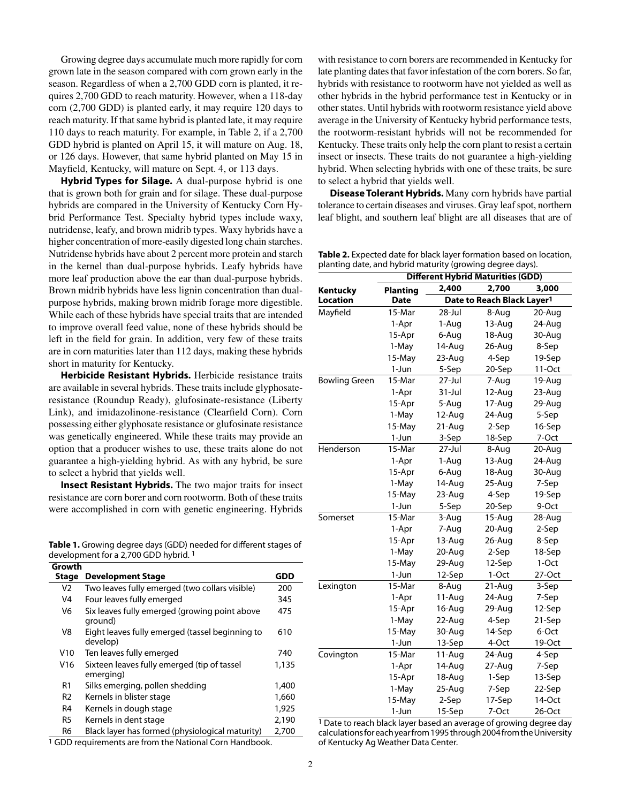Growing degree days accumulate much more rapidly for corn grown late in the season compared with corn grown early in the season. Regardless of when a 2,700 GDD corn is planted, it requires 2,700 GDD to reach maturity. However, when a 118-day corn (2,700 GDD) is planted early, it may require 120 days to reach maturity. If that same hybrid is planted late, it may require 110 days to reach maturity. For example, in Table 2, if a 2,700 GDD hybrid is planted on April 15, it will mature on Aug. 18, or 126 days. However, that same hybrid planted on May 15 in Mayfield, Kentucky, will mature on Sept. 4, or 113 days.

 **Hybrid Types for Silage.** A dual-purpose hybrid is one that is grown both for grain and for silage. These dual-purpose hybrids are compared in the University of Kentucky Corn Hybrid Performance Test. Specialty hybrid types include waxy, nutridense, leafy, and brown midrib types. Waxy hybrids have a higher concentration of more-easily digested long chain starches. Nutridense hybrids have about 2 percent more protein and starch in the kernel than dual-purpose hybrids. Leafy hybrids have more leaf production above the ear than dual-purpose hybrids. Brown midrib hybrids have less lignin concentration than dualpurpose hybrids, making brown midrib forage more digestible. While each of these hybrids have special traits that are intended to improve overall feed value, none of these hybrids should be left in the field for grain. In addition, very few of these traits are in corn maturities later than 112 days, making these hybrids short in maturity for Kentucky.

 **Herbicide Resistant Hybrids.** Herbicide resistance traits are available in several hybrids. These traits include glyphosateresistance (Roundup Ready), glufosinate-resistance (Liberty Link), and imidazolinone-resistance (Clearfield Corn). Corn possessing either glyphosate resistance or glufosinate resistance was genetically engineered. While these traits may provide an option that a producer wishes to use, these traits alone do not guarantee a high-yielding hybrid. As with any hybrid, be sure to select a hybrid that yields well.

 **Insect Resistant Hybrids.** The two major traits for insect resistance are corn borer and corn rootworm. Both of these traits were accomplished in corn with genetic engineering. Hybrids

Table 1. Growing degree days (GDD) needed for different stages of development for a 2,700 GDD hybrid. 1

**Growth** 

| uivwui         |                                                             |       |
|----------------|-------------------------------------------------------------|-------|
| <b>Stage</b>   | <b>Development Stage</b>                                    | GDD   |
| V <sub>2</sub> | Two leaves fully emerged (two collars visible)              | 200   |
| V4             | Four leaves fully emerged                                   | 345   |
| V <sub>6</sub> | Six leaves fully emerged (growing point above<br>ground)    | 475   |
| V8             | Eight leaves fully emerged (tassel beginning to<br>develop) | 610   |
| V10            | Ten leaves fully emerged                                    | 740   |
| V16            | Sixteen leaves fully emerged (tip of tassel<br>emerging)    | 1,135 |
| R <sub>1</sub> | Silks emerging, pollen shedding                             | 1,400 |
| R <sub>2</sub> | Kernels in blister stage                                    | 1,660 |
| R <sub>4</sub> | Kernels in dough stage                                      | 1,925 |
| R <sub>5</sub> | Kernels in dent stage                                       | 2,190 |
| R6             | Black layer has formed (physiological maturity)             | 2,700 |
|                | 1 CDD requirements are from the National Corp Handbook      |       |

1 GDD requirements are from the National Corn Handbook.

with resistance to corn borers are recommended in Kentucky for late planting dates that favor infestation of the corn borers. So far, hybrids with resistance to rootworm have not yielded as well as other hybrids in the hybrid performance test in Kentucky or in other states. Until hybrids with rootworm resistance yield above average in the University of Kentucky hybrid performance tests, the rootworm-resistant hybrids will not be recommended for Kentucky. These traits only help the corn plant to resist a certain insect or insects. These traits do not guarantee a high-yielding hybrid. When selecting hybrids with one of these traits, be sure to select a hybrid that yields well.

 **Disease Tolerant Hybrids.** Many corn hybrids have partial tolerance to certain diseases and viruses. Gray leaf spot, northern leaf blight, and southern leaf blight are all diseases that are of

**Table 2.** Expected date for black layer formation based on location, planting date, and hybrid maturity (growing degree days).

|                      | <b>Different Hybrid Maturities (GDD)</b> |            |                                        |        |
|----------------------|------------------------------------------|------------|----------------------------------------|--------|
| Kentucky             | <b>Planting</b>                          | 2,400      | 2,700                                  | 3,000  |
| <b>Location</b>      | Date                                     |            | Date to Reach Black Layer <sup>1</sup> |        |
| Mayfield             | 15-Mar                                   | 28-Jul     | 8-Aug                                  | 20-Aug |
|                      | 1-Apr                                    | 1-Aug      | 13-Aug                                 | 24-Aug |
|                      | 15-Apr                                   | 6-Aug      | 18-Aug                                 | 30-Aug |
|                      | 1-May                                    | 14-Aug     | 26-Aug                                 | 8-Sep  |
|                      | 15-May                                   | 23-Aug     | 4-Sep                                  | 19-Sep |
|                      | 1-Jun                                    | 5-Sep      | 20-Sep                                 | 11-Oct |
| <b>Bowling Green</b> | 15-Mar                                   | $27 -$ Jul | 7-Aug                                  | 19-Aug |
|                      | 1-Apr                                    | $31 -$ Jul | 12-Aug                                 | 23-Aug |
|                      | 15-Apr                                   | 5-Aug      | 17-Aug                                 | 29-Aug |
|                      | 1-May                                    | 12-Aug     | 24-Aug                                 | 5-Sep  |
|                      | 15-May                                   | 21-Aug     | 2-Sep                                  | 16-Sep |
|                      | 1-Jun                                    | 3-Sep      | 18-Sep                                 | 7-Oct  |
| Henderson            | 15-Mar                                   | 27-Jul     | 8-Aug                                  | 20-Aug |
|                      | 1-Apr                                    | 1-Aug      | 13-Aug                                 | 24-Aug |
|                      | 15-Apr                                   | 6-Aug      | 18-Aug                                 | 30-Aug |
|                      | 1-May                                    | 14-Aug     | 25-Aug                                 | 7-Sep  |
|                      | 15-May                                   | 23-Aug     | 4-Sep                                  | 19-Sep |
|                      | $1-Jun$                                  | 5-Sep      | 20-Sep                                 | 9-Oct  |
| Somerset             | 15-Mar                                   | 3-Aug      | 15-Aug                                 | 28-Aug |
|                      | 1-Apr                                    | 7-Aug      | 20-Aug                                 | 2-Sep  |
|                      | 15-Apr                                   | 13-Aug     | 26-Aug                                 | 8-Sep  |
|                      | 1-May                                    | 20-Aug     | 2-Sep                                  | 18-Sep |
|                      | 15-May                                   | 29-Aug     | 12-Sep                                 | 1-Oct  |
|                      | 1-Jun                                    | 12-Sep     | $1-Oct$                                | 27-Oct |
| Lexington            | 15-Mar                                   | 8-Aug      | 21-Aug                                 | 3-Sep  |
|                      | 1-Apr                                    | 11-Aug     | 24-Aug                                 | 7-Sep  |
|                      | 15-Apr                                   | 16-Aug     | 29-Aug                                 | 12-Sep |
|                      | 1-May                                    | 22-Aug     | 4-Sep                                  | 21-Sep |
|                      | 15-May                                   | 30-Aug     | 14-Sep                                 | 6-Oct  |
|                      | 1-Jun                                    | 13-Sep     | 4-Oct                                  | 19-Oct |
| Covington            | 15-Mar                                   | 11-Aug     | 24-Aug                                 | 4-Sep  |
|                      | 1-Apr                                    | 14-Aug     | 27-Aug                                 | 7-Sep  |
|                      | 15-Apr                                   | 18-Aug     | 1-Sep                                  | 13-Sep |
|                      | 1-May                                    | 25-Aug     | 7-Sep                                  | 22-Sep |
|                      | 15-May                                   | 2-Sep      | 17-Sep                                 | 14-Oct |
|                      | 1-Jun                                    | 15-Sep     | 7-Oct                                  | 26-Oct |

1 Date to reach black layer based an average of growing degree day calculations for each year from 1995 through 2004 from the University of Kentucky Ag Weather Data Center.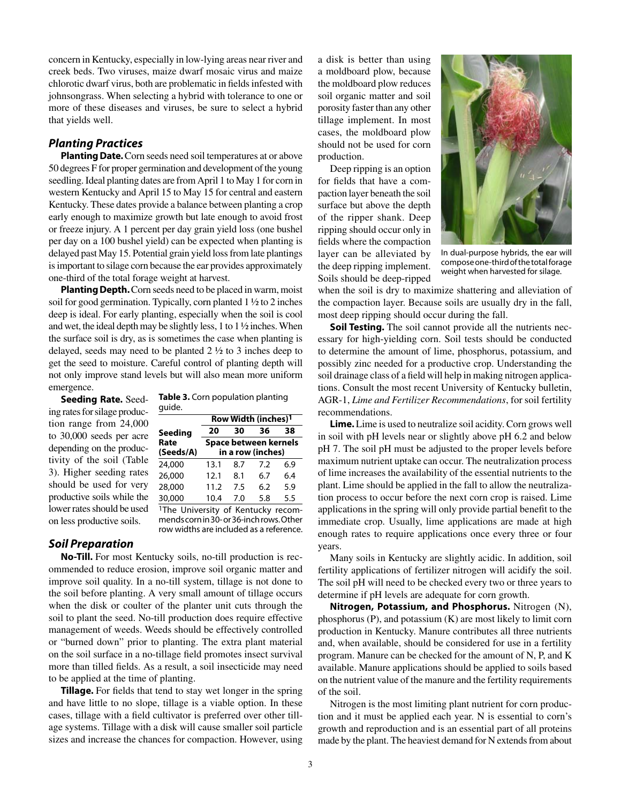concern in Kentucky, especially in low-lying areas near river and creek beds. Two viruses, maize dwarf mosaic virus and maize chlorotic dwarf virus, both are problematic in fields infested with johnsongrass. When selecting a hybrid with tolerance to one or more of these diseases and viruses, be sure to select a hybrid that yields well.

## *Planting Practices*

 **Planting Date.** Corn seeds need soil temperatures at or above 50 degrees F for proper germination and development of the young seedling. Ideal planting dates are from April 1 to May 1 for corn in western Kentucky and April 15 to May 15 for central and eastern Kentucky. These dates provide a balance between planting a crop early enough to maximize growth but late enough to avoid frost or freeze injury. A 1 percent per day grain yield loss (one bushel per day on a 100 bushel yield) can be expected when planting is delayed past May 15. Potential grain yield loss from late plantings is important to silage corn because the ear provides approximately one-third of the total forage weight at harvest.

 **Planting Depth.** Corn seeds need to be placed in warm, moist soil for good germination. Typically, corn planted 1 ½ to 2 inches deep is ideal. For early planting, especially when the soil is cool and wet, the ideal depth may be slightly less, 1 to  $1\frac{1}{2}$  inches. When the surface soil is dry, as is sometimes the case when planting is delayed, seeds may need to be planted 2 ½ to 3 inches deep to get the seed to moisture. Careful control of planting depth will not only improve stand levels but will also mean more uniform emergence.

 **Seeding Rate.** Seeding rates for silage production range from 24,000 to 30,000 seeds per acre depending on the productivity of the soil (Table 3). Higher seeding rates should be used for very productive soils while the lower rates should be used on less productive soils.

**Table 3.** Corn population planting guide.

|                                                | Row Width (inches) <sup>1</sup> |     |                       |     |
|------------------------------------------------|---------------------------------|-----|-----------------------|-----|
| Seeding                                        | 20                              | 30  | 36                    | 38  |
| Rate                                           |                                 |     | Space between kernels |     |
| (Seeds/A)                                      |                                 |     | in a row (inches)     |     |
| 24,000                                         | 13.1                            | 8.7 | 7.2                   | 6.9 |
| 26,000                                         | 12.1                            | 8.1 | 6.7                   | 6.4 |
| 28,000                                         | 11.2                            | 7.5 | 6.2                   | 5.9 |
| 30,000                                         | 10.4                            | 7.0 | 5.8                   | 5.5 |
| <sup>1</sup> The University of Kentucky recom- |                                 |     |                       |     |
| mends corn in 30- or 36-inch rows. Other       |                                 |     |                       |     |
| row widths are included as a reference.        |                                 |     |                       |     |

#### *Soil Preparation*

 **No-Till.** For most Kentucky soils, no-till production is recommended to reduce erosion, improve soil organic matter and improve soil quality. In a no-till system, tillage is not done to the soil before planting. A very small amount of tillage occurs when the disk or coulter of the planter unit cuts through the soil to plant the seed. No-till production does require effective management of weeds. Weeds should be effectively controlled or "burned down" prior to planting. The extra plant material on the soil surface in a no-tillage field promotes insect survival more than tilled fields. As a result, a soil insecticide may need to be applied at the time of planting.

**Tillage.** For fields that tend to stay wet longer in the spring and have little to no slope, tillage is a viable option. In these cases, tillage with a field cultivator is preferred over other tillage systems. Tillage with a disk will cause smaller soil particle sizes and increase the chances for compaction. However, using a disk is better than using a moldboard plow, because the moldboard plow reduces soil organic matter and soil porosity faster than any other tillage implement. In most cases, the moldboard plow should not be used for corn production.

 Deep ripping is an option for fields that have a compaction layer beneath the soil surface but above the depth of the ripper shank. Deep ripping should occur only in fields where the compaction layer can be alleviated by the deep ripping implement. Soils should be deep-ripped



In dual-purpose hybrids, the ear will compose one-third of the total forage weight when harvested for silage.

when the soil is dry to maximize shattering and alleviation of the compaction layer. Because soils are usually dry in the fall, most deep ripping should occur during the fall.

**Soil Testing.** The soil cannot provide all the nutrients necessary for high-yielding corn. Soil tests should be conducted to determine the amount of lime, phosphorus, potassium, and possibly zinc needed for a productive crop. Understanding the soil drainage class of a field will help in making nitrogen applications. Consult the most recent University of Kentucky bulletin, AGR-1, *Lime and Fertilizer Recommendations*, for soil fertility recommendations.

 **Lime.** Lime is used to neutralize soil acidity. Corn grows well in soil with pH levels near or slightly above pH 6.2 and below pH 7. The soil pH must be adjusted to the proper levels before maximum nutrient uptake can occur. The neutralization process of lime increases the availability of the essential nutrients to the plant. Lime should be applied in the fall to allow the neutralization process to occur before the next corn crop is raised. Lime applications in the spring will only provide partial benefit to the immediate crop. Usually, lime applications are made at high enough rates to require applications once every three or four years.

 Many soils in Kentucky are slightly acidic. In addition, soil fertility applications of fertilizer nitrogen will acidify the soil. The soil pH will need to be checked every two or three years to determine if pH levels are adequate for corn growth.

 **Nitrogen, Potassium, and Phosphorus.** Nitrogen (N), phosphorus (P), and potassium (K) are most likely to limit corn production in Kentucky. Manure contributes all three nutrients and, when available, should be considered for use in a fertility program. Manure can be checked for the amount of N, P, and K available. Manure applications should be applied to soils based on the nutrient value of the manure and the fertility requirements of the soil.

 Nitrogen is the most limiting plant nutrient for corn production and it must be applied each year. N is essential to corn's growth and reproduction and is an essential part of all proteins made by the plant. The heaviest demand for N extends from about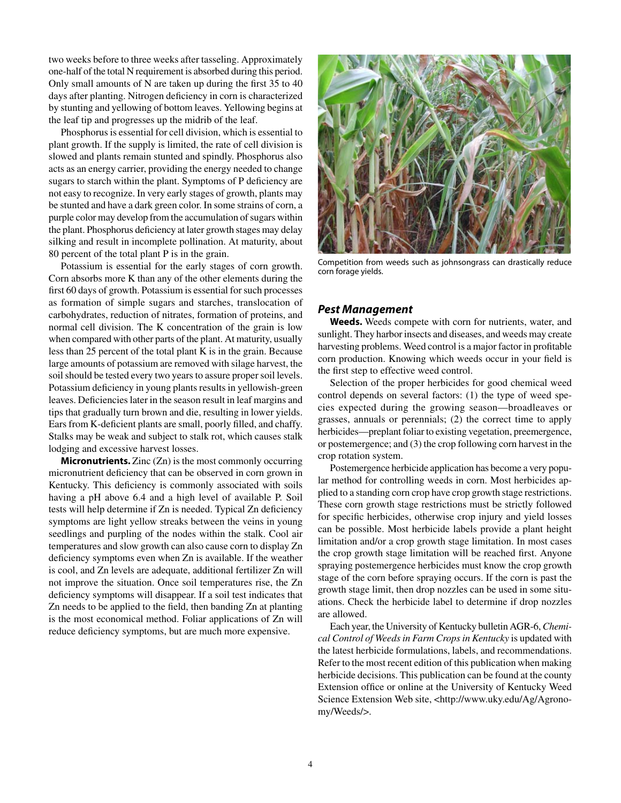two weeks before to three weeks after tasseling. Approximately one-half of the total N requirement is absorbed during this period. Only small amounts of N are taken up during the first  $35$  to  $40$ days after planting. Nitrogen deficiency in corn is characterized by stunting and yellowing of bottom leaves. Yellowing begins at the leaf tip and progresses up the midrib of the leaf.

 Phosphorus is essential for cell division, which is essential to plant growth. If the supply is limited, the rate of cell division is slowed and plants remain stunted and spindly. Phosphorus also acts as an energy carrier, providing the energy needed to change sugars to starch within the plant. Symptoms of P deficiency are not easy to recognize. In very early stages of growth, plants may be stunted and have a dark green color. In some strains of corn, a purple color may develop from the accumulation of sugars within the plant. Phosphorus deficiency at later growth stages may delay silking and result in incomplete pollination. At maturity, about 80 percent of the total plant P is in the grain.

 Potassium is essential for the early stages of corn growth. Corn absorbs more K than any of the other elements during the first 60 days of growth. Potassium is essential for such processes as formation of simple sugars and starches, translocation of carbohydrates, reduction of nitrates, formation of proteins, and normal cell division. The K concentration of the grain is low when compared with other parts of the plant. At maturity, usually less than 25 percent of the total plant K is in the grain. Because large amounts of potassium are removed with silage harvest, the soil should be tested every two years to assure proper soil levels. Potassium deficiency in young plants results in yellowish-green leaves. Deficiencies later in the season result in leaf margins and tips that gradually turn brown and die, resulting in lower yields. Ears from K-deficient plants are small, poorly filled, and chaffy. Stalks may be weak and subject to stalk rot, which causes stalk lodging and excessive harvest losses.

**Micronutrients.** Zinc (Zn) is the most commonly occurring micronutrient deficiency that can be observed in corn grown in Kentucky. This deficiency is commonly associated with soils having a pH above 6.4 and a high level of available P. Soil tests will help determine if Zn is needed. Typical Zn deficiency symptoms are light yellow streaks between the veins in young seedlings and purpling of the nodes within the stalk. Cool air temperatures and slow growth can also cause corn to display Zn deficiency symptoms even when Zn is available. If the weather is cool, and Zn levels are adequate, additional fertilizer Zn will not improve the situation. Once soil temperatures rise, the Zn deficiency symptoms will disappear. If a soil test indicates that Zn needs to be applied to the field, then banding Zn at planting is the most economical method. Foliar applications of Zn will reduce deficiency symptoms, but are much more expensive.



Competition from weeds such as johnsongrass can drastically reduce corn forage yields.

#### *Pest Management*

 **Weeds.** Weeds compete with corn for nutrients, water, and sunlight. They harbor insects and diseases, and weeds may create harvesting problems. Weed control is a major factor in profitable corn production. Knowing which weeds occur in your field is the first step to effective weed control.

 Selection of the proper herbicides for good chemical weed control depends on several factors: (1) the type of weed species expected during the growing season—broadleaves or grasses, annuals or perennials; (2) the correct time to apply herbicides—preplant foliar to existing vegetation, preemergence, or postemergence; and (3) the crop following corn harvest in the crop rotation system.

 Postemergence herbicide application has become a very popular method for controlling weeds in corn. Most herbicides applied to a standing corn crop have crop growth stage restrictions. These corn growth stage restrictions must be strictly followed for specific herbicides, otherwise crop injury and yield losses can be possible. Most herbicide labels provide a plant height limitation and/or a crop growth stage limitation. In most cases the crop growth stage limitation will be reached first. Anyone spraying postemergence herbicides must know the crop growth stage of the corn before spraying occurs. If the corn is past the growth stage limit, then drop nozzles can be used in some situations. Check the herbicide label to determine if drop nozzles are allowed.

 Each year, the University of Kentucky bulletin AGR-6, *Chemical Control of Weeds in Farm Crops in Kentucky* is updated with the latest herbicide formulations, labels, and recommendations. Refer to the most recent edition of this publication when making herbicide decisions. This publication can be found at the county Extension office or online at the University of Kentucky Weed Science Extension Web site, <http://www.uky.edu/Ag/Agronomy/Weeds/>.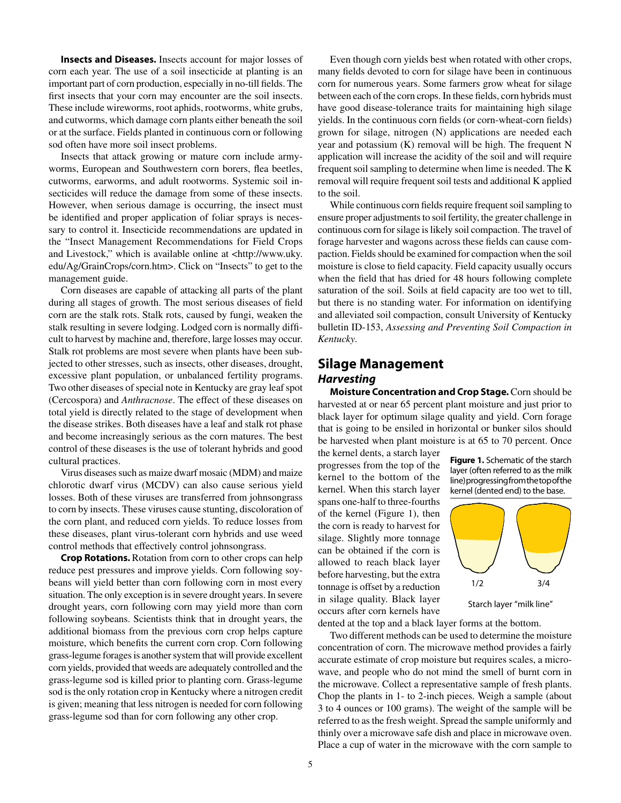**Insects and Diseases.** Insects account for major losses of corn each year. The use of a soil insecticide at planting is an important part of corn production, especially in no-till fields. The first insects that your corn may encounter are the soil insects. These include wireworms, root aphids, rootworms, white grubs, and cutworms, which damage corn plants either beneath the soil or at the surface. Fields planted in continuous corn or following sod often have more soil insect problems.

 Insects that attack growing or mature corn include armyworms, European and Southwestern corn borers, flea beetles, cutworms, earworms, and adult rootworms. Systemic soil insecticides will reduce the damage from some of these insects. However, when serious damage is occurring, the insect must be identified and proper application of foliar sprays is necessary to control it. Insecticide recommendations are updated in the "Insect Management Recommendations for Field Crops and Livestock," which is available online at <http://www.uky. edu/Ag/GrainCrops/corn.htm>. Click on "Insects" to get to the management guide.

 Corn diseases are capable of attacking all parts of the plant during all stages of growth. The most serious diseases of field corn are the stalk rots. Stalk rots, caused by fungi, weaken the stalk resulting in severe lodging. Lodged corn is normally diffi cult to harvest by machine and, therefore, large losses may occur. Stalk rot problems are most severe when plants have been subjected to other stresses, such as insects, other diseases, drought, excessive plant population, or unbalanced fertility programs. Two other diseases of special note in Kentucky are gray leaf spot (Cercospora) and *Anthracnose*. The effect of these diseases on total yield is directly related to the stage of development when the disease strikes. Both diseases have a leaf and stalk rot phase and become increasingly serious as the corn matures. The best control of these diseases is the use of tolerant hybrids and good cultural practices.

 Virus diseases such as maize dwarf mosaic (MDM) and maize chlorotic dwarf virus (MCDV) can also cause serious yield losses. Both of these viruses are transferred from johnsongrass to corn by insects. These viruses cause stunting, discoloration of the corn plant, and reduced corn yields. To reduce losses from these diseases, plant virus-tolerant corn hybrids and use weed control methods that effectively control johnsongrass.

 **Crop Rotations.** Rotation from corn to other crops can help reduce pest pressures and improve yields. Corn following soybeans will yield better than corn following corn in most every situation. The only exception is in severe drought years. In severe drought years, corn following corn may yield more than corn following soybeans. Scientists think that in drought years, the additional biomass from the previous corn crop helps capture moisture, which benefits the current corn crop. Corn following grass-legume forages is another system that will provide excellent corn yields, provided that weeds are adequately controlled and the grass-legume sod is killed prior to planting corn. Grass-legume sod is the only rotation crop in Kentucky where a nitrogen credit is given; meaning that less nitrogen is needed for corn following grass-legume sod than for corn following any other crop.

 Even though corn yields best when rotated with other crops, many fields devoted to corn for silage have been in continuous corn for numerous years. Some farmers grow wheat for silage between each of the corn crops. In these fields, corn hybrids must have good disease-tolerance traits for maintaining high silage yields. In the continuous corn fields (or corn-wheat-corn fields) grown for silage, nitrogen (N) applications are needed each year and potassium (K) removal will be high. The frequent N application will increase the acidity of the soil and will require frequent soil sampling to determine when lime is needed. The K removal will require frequent soil tests and additional K applied to the soil.

While continuous corn fields require frequent soil sampling to ensure proper adjustments to soil fertility, the greater challenge in continuous corn for silage is likely soil compaction. The travel of forage harvester and wagons across these fields can cause compaction. Fields should be examined for compaction when the soil moisture is close to field capacity. Field capacity usually occurs when the field that has dried for 48 hours following complete saturation of the soil. Soils at field capacity are too wet to till, but there is no standing water. For information on identifying and alleviated soil compaction, consult University of Kentucky bulletin ID-153, *Assessing and Preventing Soil Compaction in Kentucky*.

# **Silage Management** *Harvesting*

 **Moisture Concentration and Crop Stage.** Corn should be harvested at or near 65 percent plant moisture and just prior to black layer for optimum silage quality and yield. Corn forage that is going to be ensiled in horizontal or bunker silos should be harvested when plant moisture is at 65 to 70 percent. Once

the kernel dents, a starch layer progresses from the top of the kernel to the bottom of the kernel. When this starch layer spans one-half to three-fourths of the kernel (Figure 1), then the corn is ready to harvest for silage. Slightly more tonnage can be obtained if the corn is allowed to reach black layer before harvesting, but the extra tonnage is offset by a reduction in silage quality. Black layer occurs after corn kernels have

**Figure 1.** Schematic of the starch layer (often referred to as the milk line) progressing from the top of the kernel (dented end) to the base.



Starch layer "milk line"

dented at the top and a black layer forms at the bottom.

 Two different methods can be used to determine the moisture concentration of corn. The microwave method provides a fairly accurate estimate of crop moisture but requires scales, a microwave, and people who do not mind the smell of burnt corn in the microwave. Collect a representative sample of fresh plants. Chop the plants in 1- to 2-inch pieces. Weigh a sample (about 3 to 4 ounces or 100 grams). The weight of the sample will be referred to as the fresh weight. Spread the sample uniformly and thinly over a microwave safe dish and place in microwave oven. Place a cup of water in the microwave with the corn sample to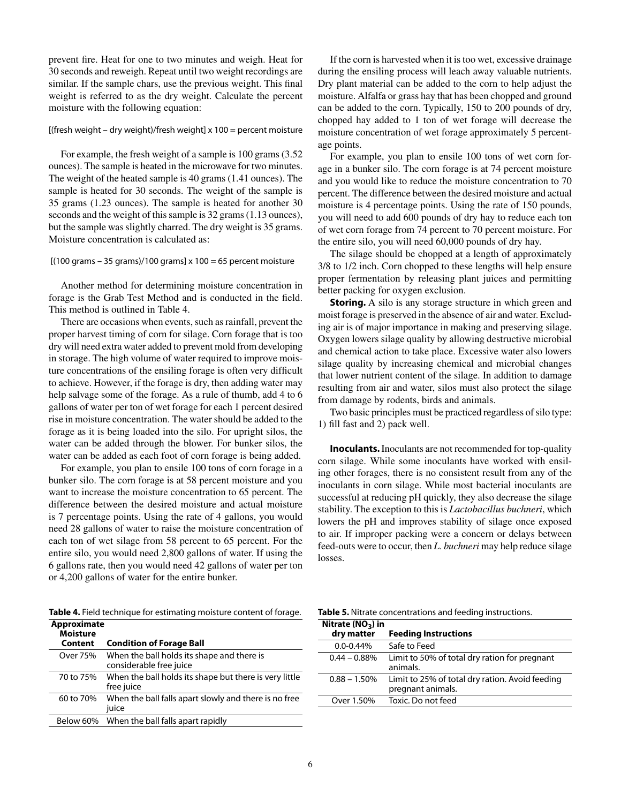prevent fire. Heat for one to two minutes and weigh. Heat for 30 seconds and reweigh. Repeat until two weight recordings are similar. If the sample chars, use the previous weight. This final weight is referred to as the dry weight. Calculate the percent moisture with the following equation:

#### [(fresh weight – dry weight)/fresh weight]  $x$  100 = percent moisture

 For example, the fresh weight of a sample is 100 grams (3.52 ounces). The sample is heated in the microwave for two minutes. The weight of the heated sample is 40 grams (1.41 ounces). The sample is heated for 30 seconds. The weight of the sample is 35 grams (1.23 ounces). The sample is heated for another 30 seconds and the weight of this sample is 32 grams (1.13 ounces), but the sample was slightly charred. The dry weight is 35 grams. Moisture concentration is calculated as:

#### $[(100 \text{ grams} - 35 \text{ grams})/100 \text{ grams}] \times 100 = 65 \text{ percent moisture}$

 Another method for determining moisture concentration in forage is the Grab Test Method and is conducted in the field. This method is outlined in Table 4.

 There are occasions when events, such as rainfall, prevent the proper harvest timing of corn for silage. Corn forage that is too dry will need extra water added to prevent mold from developing in storage. The high volume of water required to improve moisture concentrations of the ensiling forage is often very difficult to achieve. However, if the forage is dry, then adding water may help salvage some of the forage. As a rule of thumb, add 4 to 6 gallons of water per ton of wet forage for each 1 percent desired rise in moisture concentration. The water should be added to the forage as it is being loaded into the silo. For upright silos, the water can be added through the blower. For bunker silos, the water can be added as each foot of corn forage is being added.

 For example, you plan to ensile 100 tons of corn forage in a bunker silo. The corn forage is at 58 percent moisture and you want to increase the moisture concentration to 65 percent. The difference between the desired moisture and actual moisture is 7 percentage points. Using the rate of 4 gallons, you would need 28 gallons of water to raise the moisture concentration of each ton of wet silage from 58 percent to 65 percent. For the entire silo, you would need 2,800 gallons of water. If using the 6 gallons rate, then you would need 42 gallons of water per ton or 4,200 gallons of water for the entire bunker.

**Table 4.** Field technique for estimating moisture content of forage.

| Approximate<br><b>Moisture</b> |                                                                       |
|--------------------------------|-----------------------------------------------------------------------|
| Content                        | <b>Condition of Forage Ball</b>                                       |
| Over 75%                       | When the ball holds its shape and there is<br>considerable free juice |
| 70 to 75%                      | When the ball holds its shape but there is very little<br>free juice  |
| 60 to 70%                      | When the ball falls apart slowly and there is no free<br>juice        |
|                                | Below 60% When the ball falls apart rapidly                           |

 If the corn is harvested when it is too wet, excessive drainage during the ensiling process will leach away valuable nutrients. Dry plant material can be added to the corn to help adjust the moisture. Alfalfa or grass hay that has been chopped and ground can be added to the corn. Typically, 150 to 200 pounds of dry, chopped hay added to 1 ton of wet forage will decrease the moisture concentration of wet forage approximately 5 percentage points.

 For example, you plan to ensile 100 tons of wet corn forage in a bunker silo. The corn forage is at 74 percent moisture and you would like to reduce the moisture concentration to 70 percent. The difference between the desired moisture and actual moisture is 4 percentage points. Using the rate of 150 pounds, you will need to add 600 pounds of dry hay to reduce each ton of wet corn forage from 74 percent to 70 percent moisture. For the entire silo, you will need 60,000 pounds of dry hay.

 The silage should be chopped at a length of approximately 3/8 to 1/2 inch. Corn chopped to these lengths will help ensure proper fermentation by releasing plant juices and permitting better packing for oxygen exclusion.

**Storing.** A silo is any storage structure in which green and moist forage is preserved in the absence of air and water. Excluding air is of major importance in making and preserving silage. Oxygen lowers silage quality by allowing destructive microbial and chemical action to take place. Excessive water also lowers silage quality by increasing chemical and microbial changes that lower nutrient content of the silage. In addition to damage resulting from air and water, silos must also protect the silage from damage by rodents, birds and animals.

 Two basic principles must be practiced regardless of silo type: 1) fill fast and 2) pack well.

 **Inoculants.** Inoculants are not recommended for top-quality corn silage. While some inoculants have worked with ensiling other forages, there is no consistent result from any of the inoculants in corn silage. While most bacterial inoculants are successful at reducing pH quickly, they also decrease the silage stability. The exception to this is *Lactobacillus buchneri*, which lowers the pH and improves stability of silage once exposed to air. If improper packing were a concern or delays between feed-outs were to occur, then *L. buchneri* may help reduce silage losses.

**Table 5.** Nitrate concentrations and feeding instructions.

| Nitrate $(NO3)$ in |                                                                      |
|--------------------|----------------------------------------------------------------------|
| dry matter         | <b>Feeding Instructions</b>                                          |
| $0.0 - 0.44\%$     | Safe to Feed                                                         |
| $0.44 - 0.88\%$    | Limit to 50% of total dry ration for pregnant<br>animals.            |
| $0.88 - 1.50\%$    | Limit to 25% of total dry ration. Avoid feeding<br>pregnant animals. |
| Over 1.50%         | Toxic. Do not feed                                                   |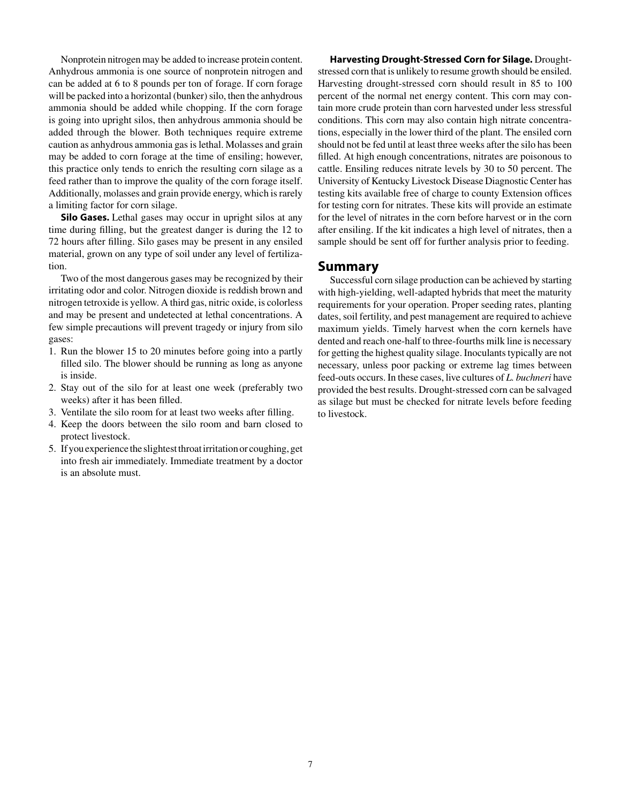Nonprotein nitrogen may be added to increase protein content. Anhydrous ammonia is one source of nonprotein nitrogen and can be added at 6 to 8 pounds per ton of forage. If corn forage will be packed into a horizontal (bunker) silo, then the anhydrous ammonia should be added while chopping. If the corn forage is going into upright silos, then anhydrous ammonia should be added through the blower. Both techniques require extreme caution as anhydrous ammonia gas is lethal. Molasses and grain may be added to corn forage at the time of ensiling; however, this practice only tends to enrich the resulting corn silage as a feed rather than to improve the quality of the corn forage itself. Additionally, molasses and grain provide energy, which is rarely a limiting factor for corn silage.

**Silo Gases.** Lethal gases may occur in upright silos at any time during filling, but the greatest danger is during the 12 to 72 hours after filling. Silo gases may be present in any ensiled material, grown on any type of soil under any level of fertilization.

 Two of the most dangerous gases may be recognized by their irritating odor and color. Nitrogen dioxide is reddish brown and nitrogen tetroxide is yellow. A third gas, nitric oxide, is colorless and may be present and undetected at lethal concentrations. A few simple precautions will prevent tragedy or injury from silo gases:

- 1. Run the blower 15 to 20 minutes before going into a partly filled silo. The blower should be running as long as anyone is inside.
- 2. Stay out of the silo for at least one week (preferably two weeks) after it has been filled.
- 3. Ventilate the silo room for at least two weeks after filling.
- 4. Keep the doors between the silo room and barn closed to protect livestock.
- 5. If you experience the slightest throat irritation or coughing, get into fresh air immediately. Immediate treatment by a doctor is an absolute must.

 **Harvesting Drought-Stressed Corn for Silage.** Droughtstressed corn that is unlikely to resume growth should be ensiled. Harvesting drought-stressed corn should result in 85 to 100 percent of the normal net energy content. This corn may contain more crude protein than corn harvested under less stressful conditions. This corn may also contain high nitrate concentrations, especially in the lower third of the plant. The ensiled corn should not be fed until at least three weeks after the silo has been filled. At high enough concentrations, nitrates are poisonous to cattle. Ensiling reduces nitrate levels by 30 to 50 percent. The University of Kentucky Livestock Disease Diagnostic Center has testing kits available free of charge to county Extension offices for testing corn for nitrates. These kits will provide an estimate for the level of nitrates in the corn before harvest or in the corn after ensiling. If the kit indicates a high level of nitrates, then a sample should be sent off for further analysis prior to feeding.

# **Summary**

 Successful corn silage production can be achieved by starting with high-yielding, well-adapted hybrids that meet the maturity requirements for your operation. Proper seeding rates, planting dates, soil fertility, and pest management are required to achieve maximum yields. Timely harvest when the corn kernels have dented and reach one-half to three-fourths milk line is necessary for getting the highest quality silage. Inoculants typically are not necessary, unless poor packing or extreme lag times between feed-outs occurs. In these cases, live cultures of *L. buchneri* have provided the best results. Drought-stressed corn can be salvaged as silage but must be checked for nitrate levels before feeding to livestock.